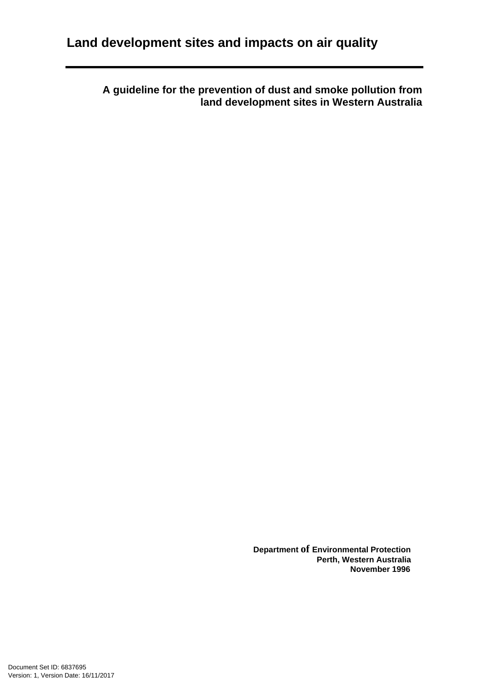**A guideline for the prevention of dust and smoke pollution from land development sites in Western Australia** 

> **Department of Environmental Protection Perth, Western Australia November 1996**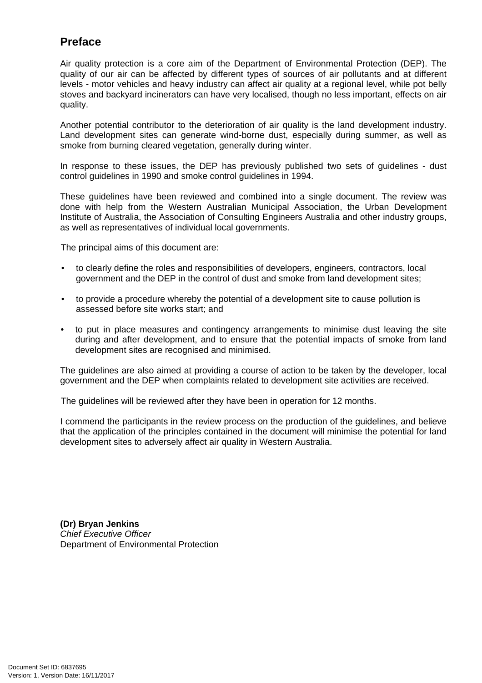# **Preface**

Air quality protection is a core aim of the Department of Environmental Protection (DEP). The quality of our air can be affected by different types of sources of air pollutants and at different levels - motor vehicles and heavy industry can affect air quality at a regional level, while pot belly stoves and backyard incinerators can have very localised, though no less important, effects on air quality.

Another potential contributor to the deterioration of air quality is the land development industry. Land development sites can generate wind-borne dust, especially during summer, as well as smoke from burning cleared vegetation, generally during winter.

In response to these issues, the DEP has previously published two sets of guidelines - dust control guidelines in 1990 and smoke control guidelines in 1994.

These guidelines have been reviewed and combined into a single document. The review was done with help from the Western Australian Municipal Association, the Urban Development Institute of Australia, the Association of Consulting Engineers Australia and other industry groups, as well as representatives of individual local governments.

The principal aims of this document are:

- to clearly define the roles and responsibilities of developers, engineers, contractors, local government and the DEP in the control of dust and smoke from land development sites;
- to provide a procedure whereby the potential of a development site to cause pollution is assessed before site works start; and
- to put in place measures and contingency arrangements to minimise dust leaving the site during and after development, and to ensure that the potential impacts of smoke from land development sites are recognised and minimised.

The guidelines are also aimed at providing a course of action to be taken by the developer, local government and the DEP when complaints related to development site activities are received.

The guidelines will be reviewed after they have been in operation for 12 months.

I commend the participants in the review process on the production of the guidelines, and believe that the application of the principles contained in the document will minimise the potential for land development sites to adversely affect air quality in Western Australia.

**(Dr) Bryan Jenkins**  Chief Executive Officer Department of Environmental Protection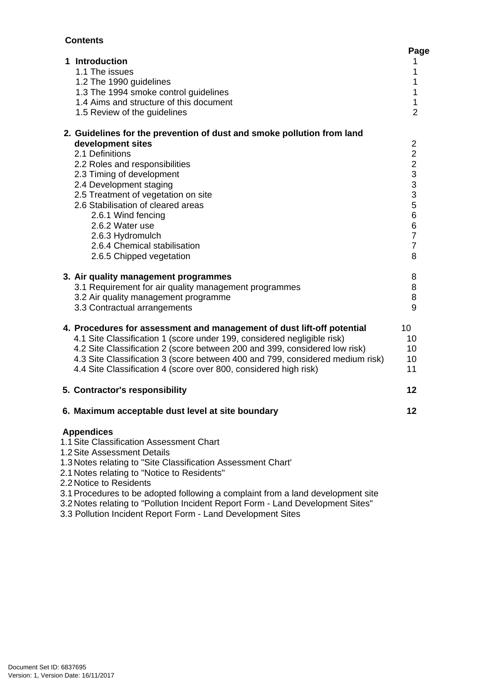#### **Contents**

| 1 Introduction<br>1.1 The issues<br>1.2 The 1990 guidelines<br>1.3 The 1994 smoke control guidelines<br>1.4 Aims and structure of this document                                                                                                                                                                                                                                                                                                | Page<br>1<br>1<br>1<br>1<br>1                                                                          |
|------------------------------------------------------------------------------------------------------------------------------------------------------------------------------------------------------------------------------------------------------------------------------------------------------------------------------------------------------------------------------------------------------------------------------------------------|--------------------------------------------------------------------------------------------------------|
| 1.5 Review of the guidelines<br>2. Guidelines for the prevention of dust and smoke pollution from land<br>development sites<br>2.1 Definitions<br>2.2 Roles and responsibilities<br>2.3 Timing of development<br>2.4 Development staging<br>2.5 Treatment of vegetation on site<br>2.6 Stabilisation of cleared areas<br>2.6.1 Wind fencing<br>2.6.2 Water use<br>2.6.3 Hydromulch<br>2.6.4 Chemical stabilisation<br>2.6.5 Chipped vegetation | $\overline{2}$<br>$\overline{2}$<br>2 2 3 3 3 5<br>6<br>$\,6$<br>$\overline{7}$<br>$\overline{7}$<br>8 |
| 3. Air quality management programmes<br>3.1 Requirement for air quality management programmes<br>3.2 Air quality management programme<br>3.3 Contractual arrangements                                                                                                                                                                                                                                                                          | 8<br>8<br>8<br>9                                                                                       |
| 4. Procedures for assessment and management of dust lift-off potential<br>4.1 Site Classification 1 (score under 199, considered negligible risk)<br>4.2 Site Classification 2 (score between 200 and 399, considered low risk)<br>4.3 Site Classification 3 (score between 400 and 799, considered medium risk)<br>4.4 Site Classification 4 (score over 800, considered high risk)                                                           | 10<br>10<br>10<br>10<br>11                                                                             |
| 5. Contractor's responsibility                                                                                                                                                                                                                                                                                                                                                                                                                 | 12                                                                                                     |
| 6. Maximum acceptable dust level at site boundary                                                                                                                                                                                                                                                                                                                                                                                              | 12                                                                                                     |
| <b>Appendices</b><br>1.1 Site Classification Assessment Chart<br>1.2 Site Assessment Details<br>1.3 Notes relating to "Site Classification Assessment Chart'<br>2.1 Notes relating to "Notice to Residents"<br>2.2 Notice to Residents<br>3.1 Procedures to be adopted following a complaint from a land development site<br>3.2 Notes relating to "Pollution Incident Report Form - Land Development Sites"                                   |                                                                                                        |

3.3 Pollution Incident Report Form - Land Development Sites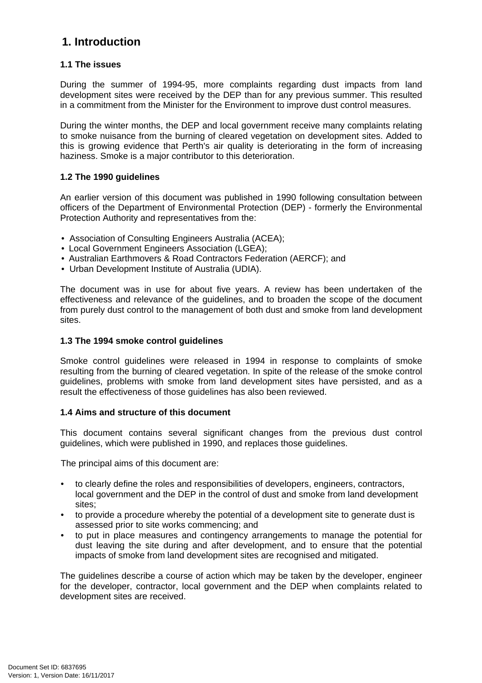# **1. Introduction**

#### **1.1 The issues**

During the summer of 1994-95, more complaints regarding dust impacts from land development sites were received by the DEP than for any previous summer. This resulted in a commitment from the Minister for the Environment to improve dust control measures.

During the winter months, the DEP and local government receive many complaints relating to smoke nuisance from the burning of cleared vegetation on development sites. Added to this is growing evidence that Perth's air quality is deteriorating in the form of increasing haziness. Smoke is a major contributor to this deterioration.

#### **1.2 The 1990 guidelines**

An earlier version of this document was published in 1990 following consultation between officers of the Department of Environmental Protection (DEP) - formerly the Environmental Protection Authority and representatives from the:

- Association of Consulting Engineers Australia (ACEA);
- Local Government Engineers Association (LGEA);
- Australian Earthmovers & Road Contractors Federation (AERCF); and
- Urban Development Institute of Australia (UDIA).

The document was in use for about five years. A review has been undertaken of the effectiveness and relevance of the guidelines, and to broaden the scope of the document from purely dust control to the management of both dust and smoke from land development sites.

#### **1.3 The 1994 smoke control guidelines**

Smoke control guidelines were released in 1994 in response to complaints of smoke resulting from the burning of cleared vegetation. In spite of the release of the smoke control guidelines, problems with smoke from land development sites have persisted, and as a result the effectiveness of those guidelines has also been reviewed.

#### **1.4 Aims and structure of this document**

This document contains several significant changes from the previous dust control guidelines, which were published in 1990, and replaces those guidelines.

The principal aims of this document are:

- to clearly define the roles and responsibilities of developers, engineers, contractors, local government and the DEP in the control of dust and smoke from land development sites;
- to provide a procedure whereby the potential of a development site to generate dust is assessed prior to site works commencing; and
- to put in place measures and contingency arrangements to manage the potential for dust leaving the site during and after development, and to ensure that the potential impacts of smoke from land development sites are recognised and mitigated.

The guidelines describe a course of action which may be taken by the developer, engineer for the developer, contractor, local government and the DEP when complaints related to development sites are received.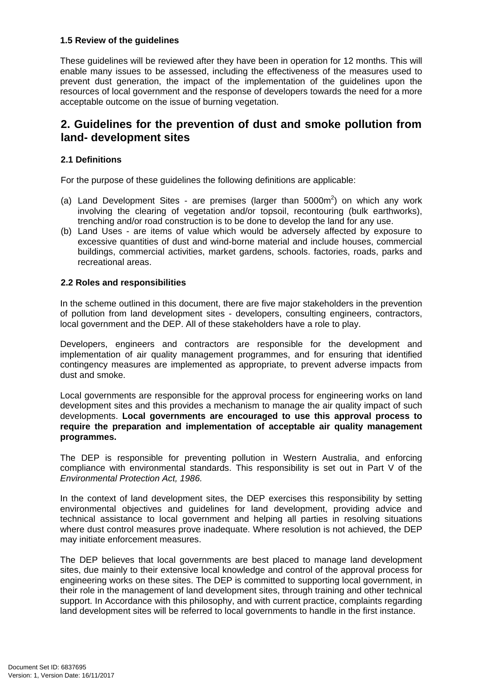#### **1.5 Review of the guidelines**

These guidelines will be reviewed after they have been in operation for 12 months. This will enable many issues to be assessed, including the effectiveness of the measures used to prevent dust generation, the impact of the implementation of the guidelines upon the resources of local government and the response of developers towards the need for a more acceptable outcome on the issue of burning vegetation.

# **2. Guidelines for the prevention of dust and smoke pollution from land- development sites**

#### **2.1 Definitions**

For the purpose of these guidelines the following definitions are applicable:

- (a) Land Development Sites are premises (larger than  $5000m^2$ ) on which any work involving the clearing of vegetation and/or topsoil, recontouring (bulk earthworks), trenching and/or road construction is to be done to develop the land for any use.
- (b) Land Uses are items of value which would be adversely affected by exposure to excessive quantities of dust and wind-borne material and include houses, commercial buildings, commercial activities, market gardens, schools. factories, roads, parks and recreational areas.

#### **2.2 Roles and responsibilities**

In the scheme outlined in this document, there are five major stakeholders in the prevention of pollution from land development sites - developers, consulting engineers, contractors, local government and the DEP. All of these stakeholders have a role to play.

Developers, engineers and contractors are responsible for the development and implementation of air quality management programmes, and for ensuring that identified contingency measures are implemented as appropriate, to prevent adverse impacts from dust and smoke.

Local governments are responsible for the approval process for engineering works on land development sites and this provides a mechanism to manage the air quality impact of such developments. **Local governments are encouraged to use this approval process to require the preparation and implementation of acceptable air quality management programmes.** 

The DEP is responsible for preventing pollution in Western Australia, and enforcing compliance with environmental standards. This responsibility is set out in Part V of the Environmental Protection Act, 1986.

In the context of land development sites, the DEP exercises this responsibility by setting environmental objectives and guidelines for land development, providing advice and technical assistance to local government and helping all parties in resolving situations where dust control measures prove inadequate. Where resolution is not achieved, the DEP may initiate enforcement measures.

The DEP believes that local governments are best placed to manage land development sites, due mainly to their extensive local knowledge and control of the approval process for engineering works on these sites. The DEP is committed to supporting local government, in their role in the management of land development sites, through training and other technical support. In Accordance with this philosophy, and with current practice, complaints regarding land development sites will be referred to local governments to handle in the first instance.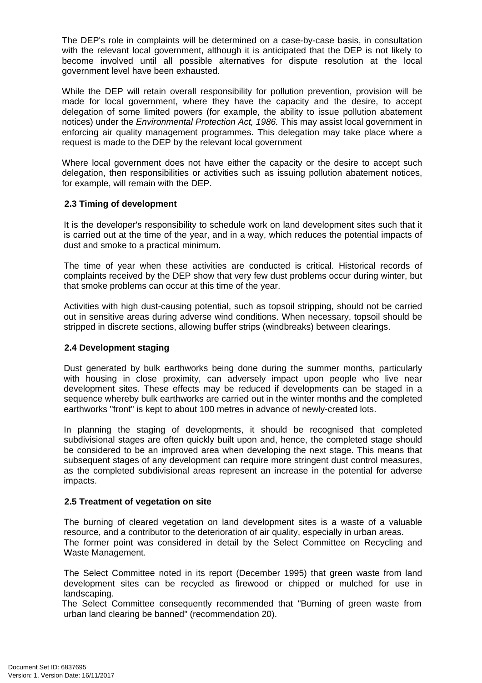The DEP's role in complaints will be determined on a case-by-case basis, in consultation with the relevant local government, although it is anticipated that the DEP is not likely to become involved until all possible alternatives for dispute resolution at the local government level have been exhausted.

While the DEP will retain overall responsibility for pollution prevention, provision will be made for local government, where they have the capacity and the desire, to accept delegation of some limited powers (for example, the ability to issue pollution abatement notices) under the Environmental Protection Act, 1986. This may assist local government in enforcing air quality management programmes. This delegation may take place where a request is made to the DEP by the relevant local government

Where local government does not have either the capacity or the desire to accept such delegation, then responsibilities or activities such as issuing pollution abatement notices, for example, will remain with the DEP.

#### **2.3 Timing of development**

It is the developer's responsibility to schedule work on land development sites such that it is carried out at the time of the year, and in a way, which reduces the potential impacts of dust and smoke to a practical minimum.

The time of year when these activities are conducted is critical. Historical records of complaints received by the DEP show that very few dust problems occur during winter, but that smoke problems can occur at this time of the year.

Activities with high dust-causing potential, such as topsoil stripping, should not be carried out in sensitive areas during adverse wind conditions. When necessary, topsoil should be stripped in discrete sections, allowing buffer strips (windbreaks) between clearings.

#### **2.4 Development staging**

Dust generated by bulk earthworks being done during the summer months, particularly with housing in close proximity, can adversely impact upon people who live near development sites. These effects may be reduced if developments can be staged in a sequence whereby bulk earthworks are carried out in the winter months and the completed earthworks "front" is kept to about 100 metres in advance of newly-created lots.

In planning the staging of developments, it should be recognised that completed subdivisional stages are often quickly built upon and, hence, the completed stage should be considered to be an improved area when developing the next stage. This means that subsequent stages of any development can require more stringent dust control measures, as the completed subdivisional areas represent an increase in the potential for adverse impacts.

#### **2.5 Treatment of vegetation on site**

The burning of cleared vegetation on land development sites is a waste of a valuable resource, and a contributor to the deterioration of air quality, especially in urban areas. The former point was considered in detail by the Select Committee on Recycling and Waste Management.

The Select Committee noted in its report (December 1995) that green waste from land development sites can be recycled as firewood or chipped or mulched for use in landscaping.

The Select Committee consequently recommended that "Burning of green waste from urban land clearing be banned" (recommendation 20).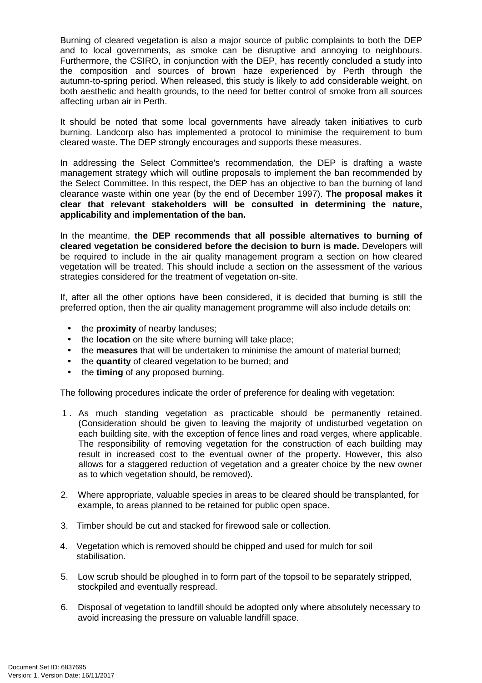Burning of cleared vegetation is also a major source of public complaints to both the DEP and to local governments, as smoke can be disruptive and annoying to neighbours. Furthermore, the CSIRO, in conjunction with the DEP, has recently concluded a study into the composition and sources of brown haze experienced by Perth through the autumn-to-spring period. When released, this study is likely to add considerable weight, on both aesthetic and health grounds, to the need for better control of smoke from all sources affecting urban air in Perth.

It should be noted that some local governments have already taken initiatives to curb burning. Landcorp also has implemented a protocol to minimise the requirement to bum cleared waste. The DEP strongly encourages and supports these measures.

In addressing the Select Committee's recommendation, the DEP is drafting a waste management strategy which will outline proposals to implement the ban recommended by the Select Committee. In this respect, the DEP has an objective to ban the burning of land clearance waste within one year (by the end of December 1997). **The proposal makes it clear that relevant stakeholders will be consulted in determining the nature, applicability and implementation of the ban.** 

In the meantime, **the DEP recommends that all possible alternatives to burning of cleared vegetation be considered before the decision to burn is made.** Developers will be required to include in the air quality management program a section on how cleared vegetation will be treated. This should include a section on the assessment of the various strategies considered for the treatment of vegetation on-site.

If, after all the other options have been considered, it is decided that burning is still the preferred option, then the air quality management programme will also include details on:

- the **proximity** of nearby landuses;
- the **location** on the site where burning will take place;
- the **measures** that will be undertaken to minimise the amount of material burned;
- the **quantity** of cleared vegetation to be burned; and
- the **timing** of any proposed burning.

The following procedures indicate the order of preference for dealing with vegetation:

- 1 . As much standing vegetation as practicable should be permanently retained. (Consideration should be given to leaving the majority of undisturbed vegetation on each building site, with the exception of fence lines and road verges, where applicable. The responsibility of removing vegetation for the construction of each building may result in increased cost to the eventual owner of the property. However, this also allows for a staggered reduction of vegetation and a greater choice by the new owner as to which vegetation should, be removed).
- 2. Where appropriate, valuable species in areas to be cleared should be transplanted, for example, to areas planned to be retained for public open space.
- 3. Timber should be cut and stacked for firewood sale or collection.
- 4. Vegetation which is removed should be chipped and used for mulch for soil stabilisation.
- 5. Low scrub should be ploughed in to form part of the topsoil to be separately stripped, stockpiled and eventually respread.
- 6. Disposal of vegetation to landfill should be adopted only where absolutely necessary to avoid increasing the pressure on valuable landfill space.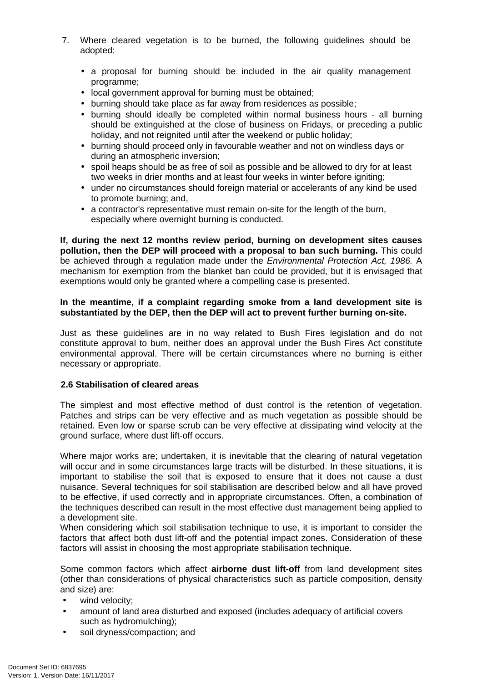- 7. Where cleared vegetation is to be burned, the following guidelines should be adopted:
	- a proposal for burning should be included in the air quality management programme;
	- local government approval for burning must be obtained;
	- burning should take place as far away from residences as possible;
	- burning should ideally be completed within normal business hours all burning should be extinguished at the close of business on Fridays, or preceding a public holiday, and not reignited until after the weekend or public holiday;
	- burning should proceed only in favourable weather and not on windless days or during an atmospheric inversion;
	- spoil heaps should be as free of soil as possible and be allowed to dry for at least two weeks in drier months and at least four weeks in winter before igniting:
	- under no circumstances should foreign material or accelerants of any kind be used to promote burning; and,
	- a contractor's representative must remain on-site for the length of the burn, especially where overnight burning is conducted.

**If, during the next 12 months review period, burning on development sites causes pollution, then the DEP will proceed with a proposal to ban such burning.** This could be achieved through a regulation made under the Environmental Protection Act, 1986. A mechanism for exemption from the blanket ban could be provided, but it is envisaged that exemptions would only be granted where a compelling case is presented.

#### **In the meantime, if a complaint regarding smoke from a land development site is substantiated by the DEP, then the DEP will act to prevent further burning on-site.**

Just as these guidelines are in no way related to Bush Fires legislation and do not constitute approval to bum, neither does an approval under the Bush Fires Act constitute environmental approval. There will be certain circumstances where no burning is either necessary or appropriate.

#### **2.6 Stabilisation of cleared areas**

The simplest and most effective method of dust control is the retention of vegetation. Patches and strips can be very effective and as much vegetation as possible should be retained. Even low or sparse scrub can be very effective at dissipating wind velocity at the ground surface, where dust lift-off occurs.

Where major works are; undertaken, it is inevitable that the clearing of natural vegetation will occur and in some circumstances large tracts will be disturbed. In these situations, it is important to stabilise the soil that is exposed to ensure that it does not cause a dust nuisance. Several techniques for soil stabilisation are described below and all have proved to be effective, if used correctly and in appropriate circumstances. Often, a combination of the techniques described can result in the most effective dust management being applied to a development site.

When considering which soil stabilisation technique to use, it is important to consider the factors that affect both dust lift-off and the potential impact zones. Consideration of these factors will assist in choosing the most appropriate stabilisation technique.

Some common factors which affect **airborne dust lift-off** from land development sites (other than considerations of physical characteristics such as particle composition, density and size) are:

- wind velocity:
- amount of land area disturbed and exposed (includes adequacy of artificial covers such as hydromulching);
- soil dryness/compaction; and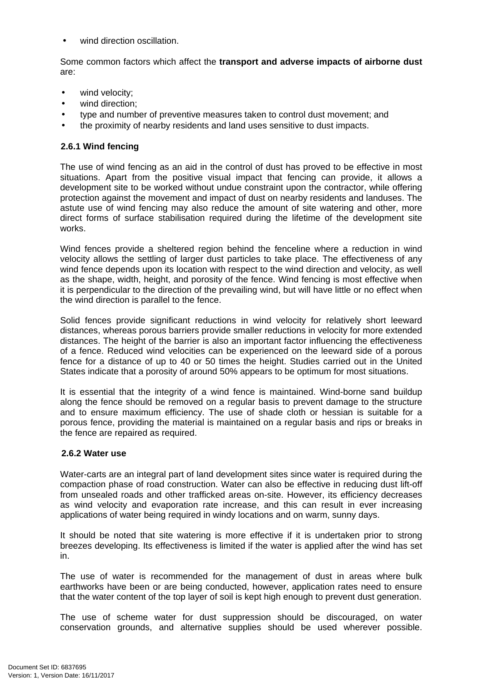wind direction oscillation.

Some common factors which affect the **transport and adverse impacts of airborne dust**  are:

- wind velocity;
- wind direction:
- type and number of preventive measures taken to control dust movement; and
- the proximity of nearby residents and land uses sensitive to dust impacts.

#### **2.6.1 Wind fencing**

The use of wind fencing as an aid in the control of dust has proved to be effective in most situations. Apart from the positive visual impact that fencing can provide, it allows a development site to be worked without undue constraint upon the contractor, while offering protection against the movement and impact of dust on nearby residents and landuses. The astute use of wind fencing may also reduce the amount of site watering and other, more direct forms of surface stabilisation required during the lifetime of the development site works.

Wind fences provide a sheltered region behind the fenceline where a reduction in wind velocity allows the settling of larger dust particles to take place. The effectiveness of any wind fence depends upon its location with respect to the wind direction and velocity, as well as the shape, width, height, and porosity of the fence. Wind fencing is most effective when it is perpendicular to the direction of the prevailing wind, but will have little or no effect when the wind direction is parallel to the fence.

Solid fences provide significant reductions in wind velocity for relatively short leeward distances, whereas porous barriers provide smaller reductions in velocity for more extended distances. The height of the barrier is also an important factor influencing the effectiveness of a fence. Reduced wind velocities can be experienced on the leeward side of a porous fence for a distance of up to 40 or 50 times the height. Studies carried out in the United States indicate that a porosity of around 50% appears to be optimum for most situations.

It is essential that the integrity of a wind fence is maintained. Wind-borne sand buildup along the fence should be removed on a regular basis to prevent damage to the structure and to ensure maximum efficiency. The use of shade cloth or hessian is suitable for a porous fence, providing the material is maintained on a regular basis and rips or breaks in the fence are repaired as required.

#### **2.6.2 Water use**

Water-carts are an integral part of land development sites since water is required during the compaction phase of road construction. Water can also be effective in reducing dust lift-off from unsealed roads and other trafficked areas on-site. However, its efficiency decreases as wind velocity and evaporation rate increase, and this can result in ever increasing applications of water being required in windy locations and on warm, sunny days.

It should be noted that site watering is more effective if it is undertaken prior to strong breezes developing. Its effectiveness is limited if the water is applied after the wind has set in.

The use of water is recommended for the management of dust in areas where bulk earthworks have been or are being conducted, however, application rates need to ensure that the water content of the top layer of soil is kept high enough to prevent dust generation.

The use of scheme water for dust suppression should be discouraged, on water conservation grounds, and alternative supplies should be used wherever possible.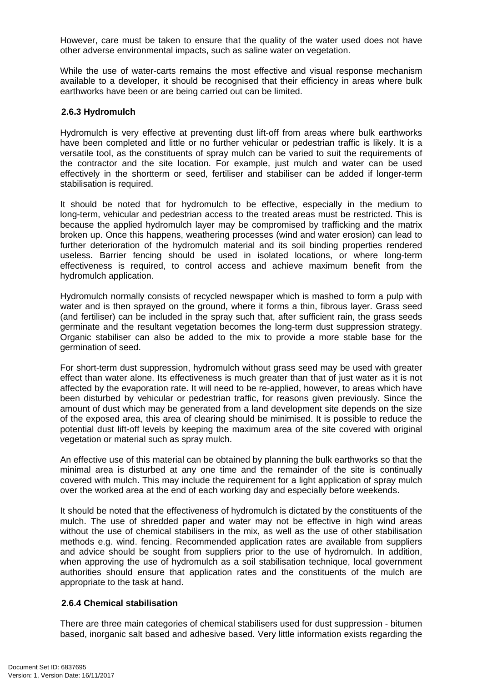However, care must be taken to ensure that the quality of the water used does not have other adverse environmental impacts, such as saline water on vegetation.

While the use of water-carts remains the most effective and visual response mechanism available to a developer, it should be recognised that their efficiency in areas where bulk earthworks have been or are being carried out can be limited.

#### **2.6.3 Hydromulch**

Hydromulch is very effective at preventing dust lift-off from areas where bulk earthworks have been completed and little or no further vehicular or pedestrian traffic is likely. It is a versatile tool, as the constituents of spray mulch can be varied to suit the requirements of the contractor and the site location. For example, just mulch and water can be used effectively in the shortterm or seed, fertiliser and stabiliser can be added if longer-term stabilisation is required.

It should be noted that for hydromulch to be effective, especially in the medium to long-term, vehicular and pedestrian access to the treated areas must be restricted. This is because the applied hydromulch layer may be compromised by trafficking and the matrix broken up. Once this happens, weathering processes (wind and water erosion) can lead to further deterioration of the hydromulch material and its soil binding properties rendered useless. Barrier fencing should be used in isolated locations, or where long-term effectiveness is required, to control access and achieve maximum benefit from the hydromulch application.

Hydromulch normally consists of recycled newspaper which is mashed to form a pulp with water and is then sprayed on the ground, where it forms a thin, fibrous layer. Grass seed (and fertiliser) can be included in the spray such that, after sufficient rain, the grass seeds germinate and the resultant vegetation becomes the long-term dust suppression strategy. Organic stabiliser can also be added to the mix to provide a more stable base for the germination of seed.

For short-term dust suppression, hydromulch without grass seed may be used with greater effect than water alone. Its effectiveness is much greater than that of just water as it is not affected by the evaporation rate. It will need to be re-applied, however, to areas which have been disturbed by vehicular or pedestrian traffic, for reasons given previously. Since the amount of dust which may be generated from a land development site depends on the size of the exposed area, this area of clearing should be minimised. It is possible to reduce the potential dust lift-off levels by keeping the maximum area of the site covered with original vegetation or material such as spray mulch.

An effective use of this material can be obtained by planning the bulk earthworks so that the minimal area is disturbed at any one time and the remainder of the site is continually covered with mulch. This may include the requirement for a light application of spray mulch over the worked area at the end of each working day and especially before weekends.

It should be noted that the effectiveness of hydromulch is dictated by the constituents of the mulch. The use of shredded paper and water may not be effective in high wind areas without the use of chemical stabilisers in the mix, as well as the use of other stabilisation methods e.g. wind. fencing. Recommended application rates are available from suppliers and advice should be sought from suppliers prior to the use of hydromulch. In addition, when approving the use of hydromulch as a soil stabilisation technique, local government authorities should ensure that application rates and the constituents of the mulch are appropriate to the task at hand.

#### **2.6.4 Chemical stabilisation**

There are three main categories of chemical stabilisers used for dust suppression - bitumen based, inorganic salt based and adhesive based. Very little information exists regarding the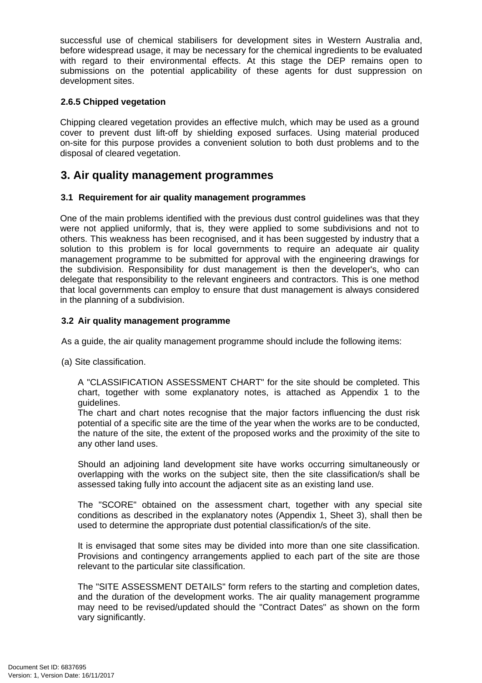successful use of chemical stabilisers for development sites in Western Australia and, before widespread usage, it may be necessary for the chemical ingredients to be evaluated with regard to their environmental effects. At this stage the DEP remains open to submissions on the potential applicability of these agents for dust suppression on development sites.

#### **2.6.5 Chipped vegetation**

Chipping cleared vegetation provides an effective mulch, which may be used as a ground cover to prevent dust lift-off by shielding exposed surfaces. Using material produced on-site for this purpose provides a convenient solution to both dust problems and to the disposal of cleared vegetation.

## **3. Air quality management programmes**

#### **3.1 Requirement for air quality management programmes**

One of the main problems identified with the previous dust control guidelines was that they were not applied uniformly, that is, they were applied to some subdivisions and not to others. This weakness has been recognised, and it has been suggested by industry that a solution to this problem is for local governments to require an adequate air quality management programme to be submitted for approval with the engineering drawings for the subdivision. Responsibility for dust management is then the developer's, who can delegate that responsibility to the relevant engineers and contractors. This is one method that local governments can employ to ensure that dust management is always considered in the planning of a subdivision.

#### **3.2 Air quality management programme**

As a guide, the air quality management programme should include the following items:

(a) Site classification.

A "CLASSIFICATION ASSESSMENT CHART" for the site should be completed. This chart, together with some explanatory notes, is attached as Appendix 1 to the guidelines.

The chart and chart notes recognise that the major factors influencing the dust risk potential of a specific site are the time of the year when the works are to be conducted, the nature of the site, the extent of the proposed works and the proximity of the site to any other land uses.

Should an adjoining land development site have works occurring simultaneously or overlapping with the works on the subject site, then the site classification/s shall be assessed taking fully into account the adjacent site as an existing land use.

The "SCORE" obtained on the assessment chart, together with any special site conditions as described in the explanatory notes (Appendix 1, Sheet 3), shall then be used to determine the appropriate dust potential classification/s of the site.

It is envisaged that some sites may be divided into more than one site classification. Provisions and contingency arrangements applied to each part of the site are those relevant to the particular site classification.

The "SITE ASSESSMENT DETAILS" form refers to the starting and completion dates, and the duration of the development works. The air quality management programme may need to be revised/updated should the "Contract Dates" as shown on the form vary significantly.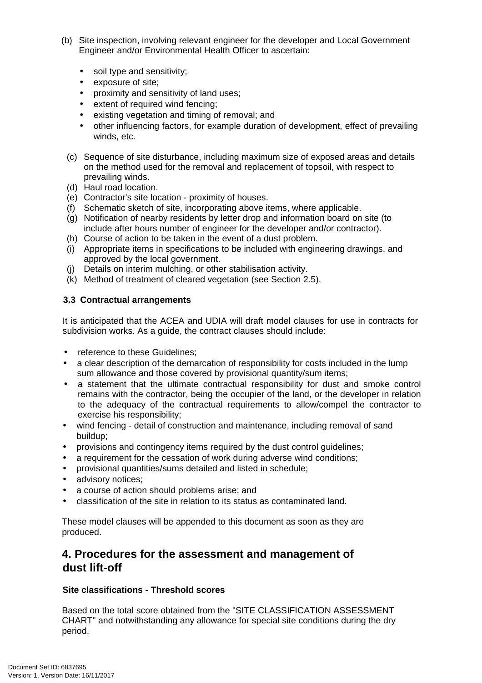- (b) Site inspection, involving relevant engineer for the developer and Local Government Engineer and/or Environmental Health Officer to ascertain:
	- soil type and sensitivity;
	- exposure of site;
	- proximity and sensitivity of land uses;
	- extent of required wind fencing:
	- existing vegetation and timing of removal; and
	- other influencing factors, for example duration of development, effect of prevailing winds, etc.
	- (c) Sequence of site disturbance, including maximum size of exposed areas and details on the method used for the removal and replacement of topsoil, with respect to prevailing winds.
	- (d) Haul road location.
	- (e) Contractor's site location proximity of houses.
	- (f) Schematic sketch of site, incorporating above items, where applicable.
	- (g) Notification of nearby residents by letter drop and information board on site (to include after hours number of engineer for the developer and/or contractor).
	- (h) Course of action to be taken in the event of a dust problem.
	- (i) Appropriate items in specifications to be included with engineering drawings, and approved by the local government.
	- (j) Details on interim mulching, or other stabilisation activity.
	- (k) Method of treatment of cleared vegetation (see Section 2.5).

#### **3.3 Contractual arrangements**

It is anticipated that the ACEA and UDIA will draft model clauses for use in contracts for subdivision works. As a guide, the contract clauses should include:

- reference to these Guidelines:
- a clear description of the demarcation of responsibility for costs included in the lump sum allowance and those covered by provisional quantity/sum items;
- a statement that the ultimate contractual responsibility for dust and smoke control remains with the contractor, being the occupier of the land, or the developer in relation to the adequacy of the contractual requirements to allow/compel the contractor to exercise his responsibility;
- wind fencing detail of construction and maintenance, including removal of sand buildup;
- provisions and contingency items required by the dust control guidelines;
- a requirement for the cessation of work during adverse wind conditions;
- provisional quantities/sums detailed and listed in schedule;
- advisory notices;
- a course of action should problems arise; and
- classification of the site in relation to its status as contaminated land.

These model clauses will be appended to this document as soon as they are produced.

# **4. Procedures for the assessment and management of dust lift-off**

#### **Site classifications - Threshold scores**

Based on the total score obtained from the "SITE CLASSIFICATION ASSESSMENT CHART" and notwithstanding any allowance for special site conditions during the dry period,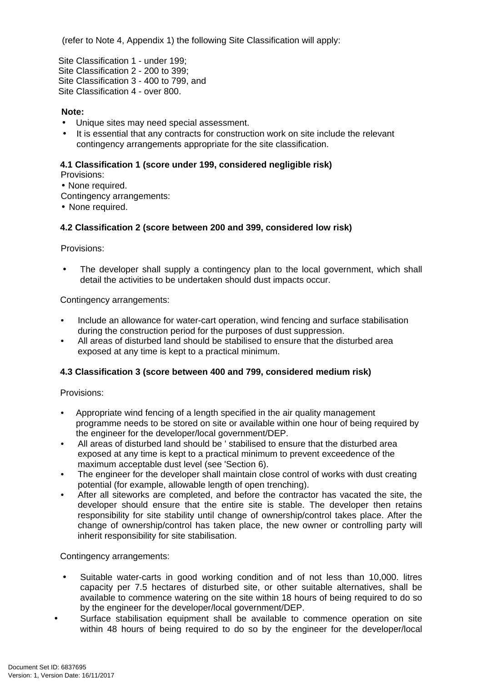(refer to Note 4, Appendix 1) the following Site Classification will apply:

Site Classification 1 - under 199; Site Classification 2 - 200 to 399; Site Classification 3 - 400 to 799, and Site Classification 4 - over 800.

#### **Note:**

- Unique sites may need special assessment.
- It is essential that any contracts for construction work on site include the relevant contingency arrangements appropriate for the site classification.

#### **4.1 Classification 1 (score under 199, considered negligible risk)**

Provisions:

• None required.

Contingency arrangements:

• None required.

#### **4.2 Classification 2 (score between 200 and 399, considered low risk)**

Provisions:

The developer shall supply a contingency plan to the local government, which shall detail the activities to be undertaken should dust impacts occur.

Contingency arrangements:

- Include an allowance for water-cart operation, wind fencing and surface stabilisation during the construction period for the purposes of dust suppression.
- All areas of disturbed land should be stabilised to ensure that the disturbed area exposed at any time is kept to a practical minimum.

#### **4.3 Classification 3 (score between 400 and 799, considered medium risk)**

Provisions:

- Appropriate wind fencing of a length specified in the air quality management programme needs to be stored on site or available within one hour of being required by the engineer for the developer/local government/DEP.
- All areas of disturbed land should be ' stabilised to ensure that the disturbed area exposed at any time is kept to a practical minimum to prevent exceedence of the maximum acceptable dust level (see 'Section 6).
- The engineer for the developer shall maintain close control of works with dust creating potential (for example, allowable length of open trenching).
- After all siteworks are completed, and before the contractor has vacated the site, the developer should ensure that the entire site is stable. The developer then retains responsibility for site stability until change of ownership/control takes place. After the change of ownership/control has taken place, the new owner or controlling party will inherit responsibility for site stabilisation.

Contingency arrangements:

- Suitable water-carts in good working condition and of not less than 10,000. litres capacity per 7.5 hectares of disturbed site, or other suitable alternatives, shall be available to commence watering on the site within 18 hours of being required to do so by the engineer for the developer/local government/DEP.
- Surface stabilisation equipment shall be available to commence operation on site within 48 hours of being required to do so by the engineer for the developer/local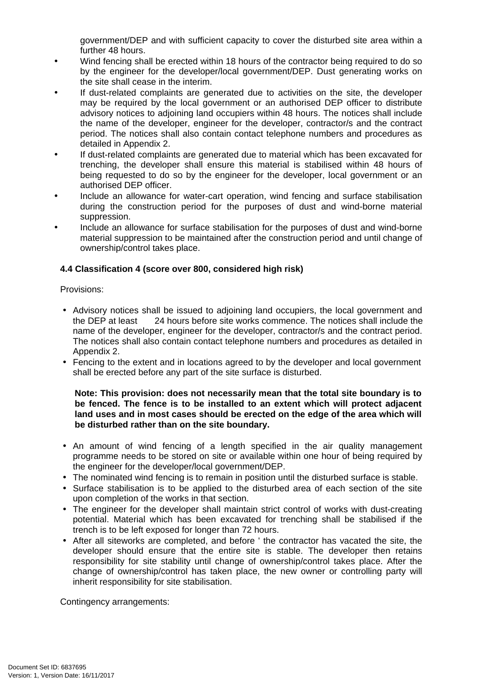government/DEP and with sufficient capacity to cover the disturbed site area within a further 48 hours.

- Wind fencing shall be erected within 18 hours of the contractor being required to do so by the engineer for the developer/local government/DEP. Dust generating works on the site shall cease in the interim.
- If dust-related complaints are generated due to activities on the site, the developer may be required by the local government or an authorised DEP officer to distribute advisory notices to adjoining land occupiers within 48 hours. The notices shall include the name of the developer, engineer for the developer, contractor/s and the contract period. The notices shall also contain contact telephone numbers and procedures as detailed in Appendix 2.
- If dust-related complaints are generated due to material which has been excavated for trenching, the developer shall ensure this material is stabilised within 48 hours of being requested to do so by the engineer for the developer, local government or an authorised DEP officer.
- Include an allowance for water-cart operation, wind fencing and surface stabilisation during the construction period for the purposes of dust and wind-borne material suppression.
- Include an allowance for surface stabilisation for the purposes of dust and wind-borne material suppression to be maintained after the construction period and until change of ownership/control takes place.

#### **4.4 Classification 4 (score over 800, considered high risk)**

Provisions:

- Advisory notices shall be issued to adjoining land occupiers, the local government and the DEP at least 24 hours before site works commence. The notices shall include the name of the developer, engineer for the developer, contractor/s and the contract period. The notices shall also contain contact telephone numbers and procedures as detailed in Appendix 2.
- Fencing to the extent and in locations agreed to by the developer and local government shall be erected before any part of the site surface is disturbed.

**Note: This provision: does not necessarily mean that the total site boundary is to be fenced. The fence is to be installed to an extent which will protect adjacent land uses and in most cases should be erected on the edge of the area which will be disturbed rather than on the site boundary.** 

- An amount of wind fencing of a length specified in the air quality management programme needs to be stored on site or available within one hour of being required by the engineer for the developer/local government/DEP.
- The nominated wind fencing is to remain in position until the disturbed surface is stable.
- Surface stabilisation is to be applied to the disturbed area of each section of the site upon completion of the works in that section.
- The engineer for the developer shall maintain strict control of works with dust-creating potential. Material which has been excavated for trenching shall be stabilised if the trench is to be left exposed for longer than 72 hours.
- After all siteworks are completed, and before ' the contractor has vacated the site, the developer should ensure that the entire site is stable. The developer then retains responsibility for site stability until change of ownership/control takes place. After the change of ownership/control has taken place, the new owner or controlling party will inherit responsibility for site stabilisation.

Contingency arrangements: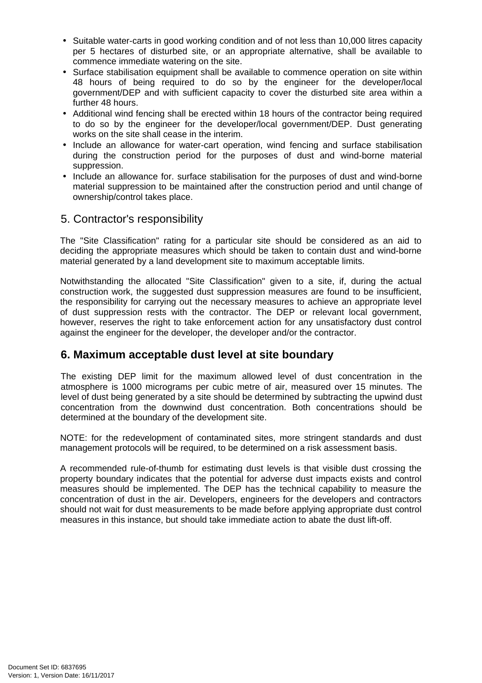- Suitable water-carts in good working condition and of not less than 10,000 litres capacity per 5 hectares of disturbed site, or an appropriate alternative, shall be available to commence immediate watering on the site.
- Surface stabilisation equipment shall be available to commence operation on site within 48 hours of being required to do so by the engineer for the developer/local government/DEP and with sufficient capacity to cover the disturbed site area within a further 48 hours.
- Additional wind fencing shall be erected within 18 hours of the contractor being required to do so by the engineer for the developer/local government/DEP. Dust generating works on the site shall cease in the interim.
- Include an allowance for water-cart operation, wind fencing and surface stabilisation during the construction period for the purposes of dust and wind-borne material suppression.
- Include an allowance for. surface stabilisation for the purposes of dust and wind-borne material suppression to be maintained after the construction period and until change of ownership/control takes place.

### 5. Contractor's responsibility

The "Site Classification" rating for a particular site should be considered as an aid to deciding the appropriate measures which should be taken to contain dust and wind-borne material generated by a land development site to maximum acceptable limits.

Notwithstanding the allocated "Site Classification" given to a site, if, during the actual construction work, the suggested dust suppression measures are found to be insufficient, the responsibility for carrying out the necessary measures to achieve an appropriate level of dust suppression rests with the contractor. The DEP or relevant local government, however, reserves the right to take enforcement action for any unsatisfactory dust control against the engineer for the developer, the developer and/or the contractor.

# **6. Maximum acceptable dust level at site boundary**

The existing DEP limit for the maximum allowed level of dust concentration in the atmosphere is 1000 micrograms per cubic metre of air, measured over 15 minutes. The level of dust being generated by a site should be determined by subtracting the upwind dust concentration from the downwind dust concentration. Both concentrations should be determined at the boundary of the development site.

NOTE: for the redevelopment of contaminated sites, more stringent standards and dust management protocols will be required, to be determined on a risk assessment basis.

A recommended rule-of-thumb for estimating dust levels is that visible dust crossing the property boundary indicates that the potential for adverse dust impacts exists and control measures should be implemented. The DEP has the technical capability to measure the concentration of dust in the air. Developers, engineers for the developers and contractors should not wait for dust measurements to be made before applying appropriate dust control measures in this instance, but should take immediate action to abate the dust lift-off.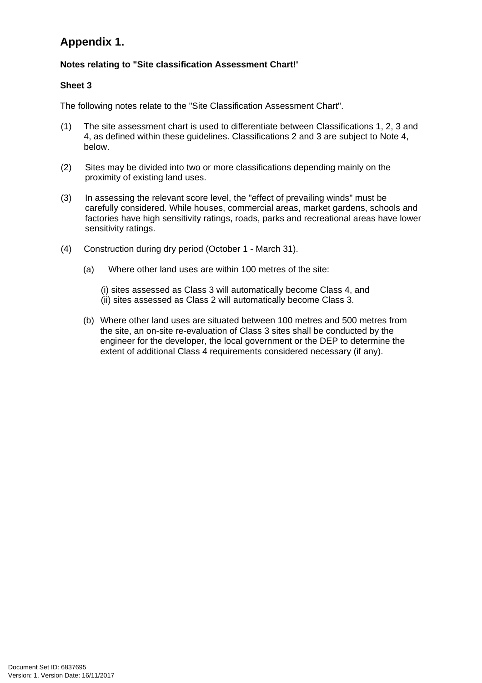# **Appendix 1.**

#### **Notes relating to "Site classification Assessment Chart!'**

#### **Sheet 3**

The following notes relate to the "Site Classification Assessment Chart".

- (1) The site assessment chart is used to differentiate between Classifications 1, 2, 3 and 4, as defined within these guidelines. Classifications 2 and 3 are subject to Note 4, below.
- (2) Sites may be divided into two or more classifications depending mainly on the proximity of existing land uses.
- (3) In assessing the relevant score level, the "effect of prevailing winds" must be carefully considered. While houses, commercial areas, market gardens, schools and factories have high sensitivity ratings, roads, parks and recreational areas have lower sensitivity ratings.
- (4) Construction during dry period (October 1 March 31).
	- (a) Where other land uses are within 100 metres of the site:
		- (i) sites assessed as Class 3 will automatically become Class 4, and (ii) sites assessed as Class 2 will automatically become Class 3.
	- (b) Where other land uses are situated between 100 metres and 500 metres from the site, an on-site re-evaluation of Class 3 sites shall be conducted by the engineer for the developer, the local government or the DEP to determine the extent of additional Class 4 requirements considered necessary (if any).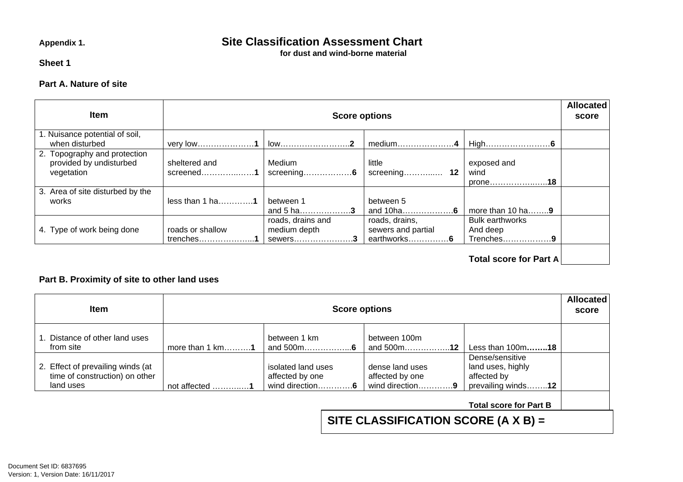# Appendix 1. **Site Classification Assessment Chart**

**for dust and wind-borne material** 

**Sheet 1** 

#### **Part A. Nature of site**

| <b>Item</b>                                                           |                                  | <b>Score options</b>                         |                                                     |                                                 | <b>Allocated</b><br>score |
|-----------------------------------------------------------------------|----------------------------------|----------------------------------------------|-----------------------------------------------------|-------------------------------------------------|---------------------------|
| 1. Nuisance potential of soil,<br>when disturbed                      | very low1                        | $low$ 2                                      | medium4                                             |                                                 |                           |
| 2. Topography and protection<br>provided by undisturbed<br>vegetation | sheltered and<br>screened1       | Medium                                       | little                                              | exposed and<br>wind<br>prone18                  |                           |
| 3. Area of site disturbed by the<br>works                             | $less than 1 ha$ 1               | between 1<br>and 5 ha3                       | between 5<br>and 10ha6                              | more than 10 ha $\dots$ 9                       |                           |
| 4. Type of work being done                                            | roads or shallow<br>$t$ renches1 | roads, drains and<br>medium depth<br>sewers3 | roads, drains,<br>sewers and partial<br>earthworks6 | <b>Bulk earthworks</b><br>And deep<br>Trenches9 |                           |
|                                                                       |                                  |                                              |                                                     | <b>Total score for Part A</b>                   |                           |

#### **Part B. Proximity of site to other land uses**

| <b>Item</b>                                                                      |                                     | <b>Score options</b>                                     |                                                       |                                                                           | <b>Allocated</b><br>score |
|----------------------------------------------------------------------------------|-------------------------------------|----------------------------------------------------------|-------------------------------------------------------|---------------------------------------------------------------------------|---------------------------|
| 1. Distance of other land uses<br>from site                                      | more than $1$ km1                   | between 1 km<br>and 500m6                                | between 100m<br>and 500m12                            | Less than 100m18                                                          |                           |
| 2. Effect of prevailing winds (at<br>time of construction) on other<br>land uses | not affected $\dots\dots\dots\dots$ | isolated land uses<br>affected by one<br>wind direction6 | dense land uses<br>affected by one<br>wind direction9 | Dense/sensitive<br>land uses, highly<br>affected by<br>prevailing winds12 |                           |
|                                                                                  |                                     |                                                          | SITE CLASSIFICATION SCORE (A $X$ B) =                 | <b>Total score for Part B</b>                                             |                           |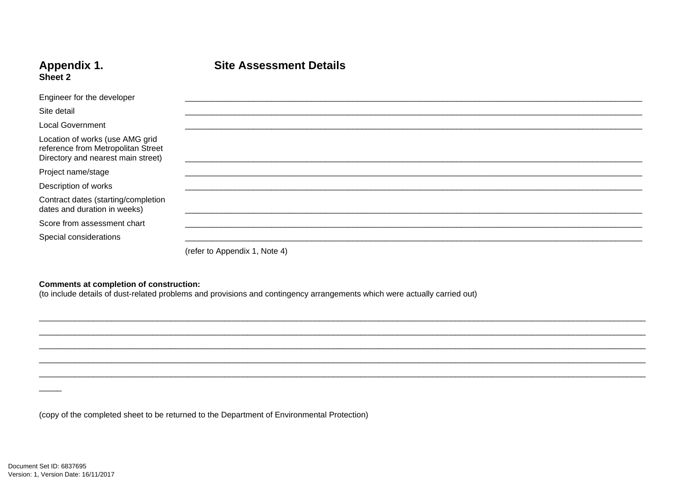#### Appendix 1. Sheet 2

## **Site Assessment Details**

| Engineer for the developer                                                                                  |                               |
|-------------------------------------------------------------------------------------------------------------|-------------------------------|
| Site detail                                                                                                 |                               |
| <b>Local Government</b>                                                                                     |                               |
| Location of works (use AMG grid<br>reference from Metropolitan Street<br>Directory and nearest main street) |                               |
| Project name/stage                                                                                          |                               |
| Description of works                                                                                        |                               |
| Contract dates (starting/completion<br>dates and duration in weeks)                                         |                               |
| Score from assessment chart                                                                                 |                               |
| Special considerations                                                                                      |                               |
|                                                                                                             | (refer to Appendix 1, Note 4) |

**Comments at completion of construction:**<br>(to include details of dust-related problems and provisions and contingency arrangements which were actually carried out)

(copy of the completed sheet to be returned to the Department of Environmental Protection)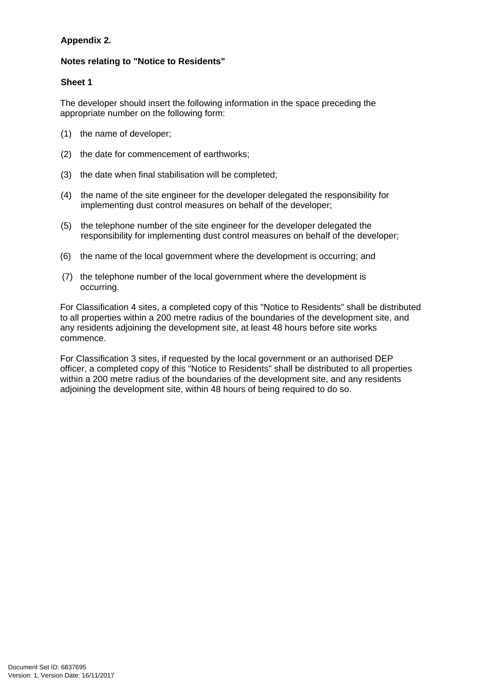#### **Appendix 2.**

#### **Notes relating to "Notice to Residents"**

#### **Sheet 1**

The developer should insert the following information in the space preceding the appropriate number on the following form:

- (1) the name of developer;
- (2) the date for commencement of earthworks;
- (3) the date when final stabilisation will be completed;
- (4) the name of the site engineer for the developer delegated the responsibility for implementing dust control measures on behalf of the developer;
- (5) the telephone number of the site engineer for the developer delegated the responsibility for implementing dust control measures on behalf of the developer;
- (6) the name of the local government where the development is occurring; and
- (7) the telephone number of the local government where the development is occurring.

For Classification 4 sites, a completed copy of this "Notice to Residents" shall be distributed to all properties within a 200 metre radius of the boundaries of the development site, and any residents adjoining the development site, at least 48 hours before site works commence.

For Classification 3 sites, if requested by the local government or an authorised DEP officer, a completed copy of this "Notice to Residents" shall be distributed to all properties within a 200 metre radius of the boundaries of the development site, and any residents adjoining the development site, within 48 hours of being required to do so.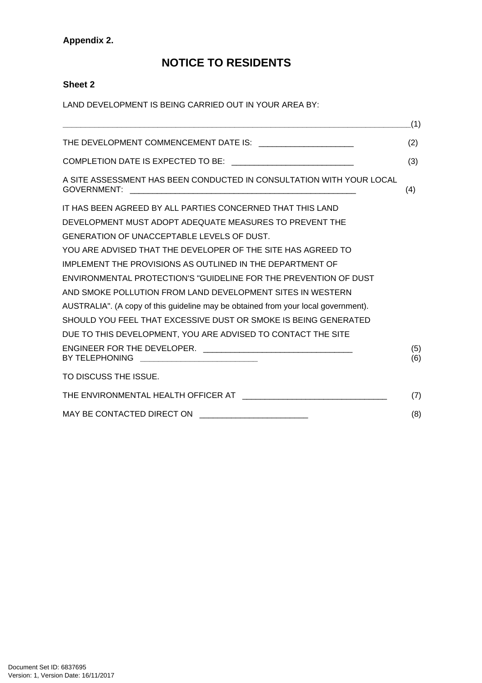#### **Appendix 2.**

# **NOTICE TO RESIDENTS**

#### **Sheet 2**

LAND DEVELOPMENT IS BEING CARRIED OUT IN YOUR AREA BY:

|                                                                                            | (1)        |
|--------------------------------------------------------------------------------------------|------------|
| THE DEVELOPMENT COMMENCEMENT DATE IS: _______________________                              | (2)        |
|                                                                                            | (3)        |
| A SITE ASSESSMENT HAS BEEN CONDUCTED IN CONSULTATION WITH YOUR LOCAL<br><b>GOVERNMENT:</b> | (4)        |
| IT HAS BEEN AGREED BY ALL PARTIES CONCERNED THAT THIS LAND                                 |            |
| DEVELOPMENT MUST ADOPT ADEQUATE MEASURES TO PREVENT THE                                    |            |
| GENERATION OF UNACCEPTABLE LEVELS OF DUST.                                                 |            |
| YOU ARE ADVISED THAT THE DEVELOPER OF THE SITE HAS AGREED TO                               |            |
| IMPLEMENT THE PROVISIONS AS OUTLINED IN THE DEPARTMENT OF                                  |            |
| ENVIRONMENTAL PROTECTION'S "GUIDELINE FOR THE PREVENTION OF DUST                           |            |
| AND SMOKE POLLUTION FROM LAND DEVELOPMENT SITES IN WESTERN                                 |            |
| AUSTRALIA". (A copy of this guideline may be obtained from your local government).         |            |
| SHOULD YOU FEEL THAT EXCESSIVE DUST OR SMOKE IS BEING GENERATED                            |            |
| DUE TO THIS DEVELOPMENT, YOU ARE ADVISED TO CONTACT THE SITE                               |            |
| BY TELEPHONING                                                                             | (5)<br>(6) |
| TO DISCUSS THE ISSUE.                                                                      |            |
|                                                                                            | (7)        |
| MAY BE CONTACTED DIRECT ON<br><u> 1989 - Johann John Stein, marwolaethau (b. 1989)</u>     | (8)        |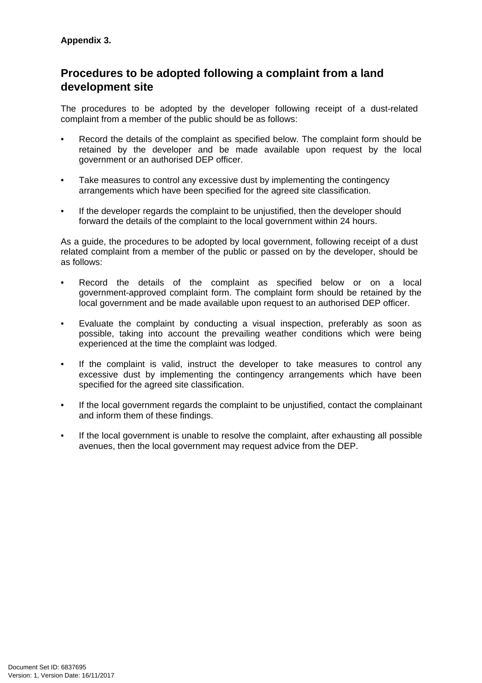# **Procedures to be adopted following a complaint from a land development site**

The procedures to be adopted by the developer following receipt of a dust-related complaint from a member of the public should be as follows:

- Record the details of the complaint as specified below. The complaint form should be retained by the developer and be made available upon request by the local government or an authorised DEP officer.
- Take measures to control any excessive dust by implementing the contingency arrangements which have been specified for the agreed site classification.
- If the developer regards the complaint to be unjustified, then the developer should forward the details of the complaint to the local government within 24 hours.

As a guide, the procedures to be adopted by local government, following receipt of a dust related complaint from a member of the public or passed on by the developer, should be as follows:

- Record the details of the complaint as specified below or on a local government-approved complaint form. The complaint form should be retained by the local government and be made available upon request to an authorised DEP officer.
- Evaluate the complaint by conducting a visual inspection, preferably as soon as possible, taking into account the prevailing weather conditions which were being experienced at the time the complaint was lodged.
- If the complaint is valid, instruct the developer to take measures to control any excessive dust by implementing the contingency arrangements which have been specified for the agreed site classification.
- If the local government regards the complaint to be unjustified, contact the complainant and inform them of these findings.
- If the local government is unable to resolve the complaint, after exhausting all possible avenues, then the local government may request advice from the DEP.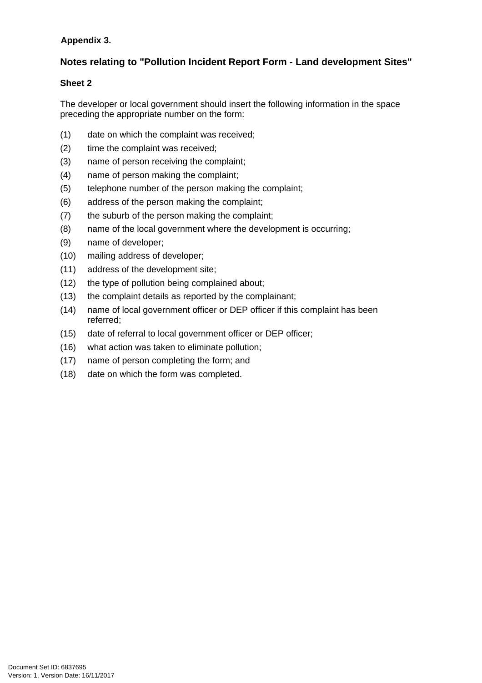#### **Appendix 3.**

### **Notes relating to "Pollution Incident Report Form - Land development Sites"**

#### **Sheet 2**

The developer or local government should insert the following information in the space preceding the appropriate number on the form:

- (1) date on which the complaint was received;
- (2) time the complaint was received;
- (3) name of person receiving the complaint;
- (4) name of person making the complaint;
- (5) telephone number of the person making the complaint;
- (6) address of the person making the complaint;
- (7) the suburb of the person making the complaint;
- (8) name of the local government where the development is occurring;
- (9) name of developer;
- (10) mailing address of developer;
- (11) address of the development site;
- (12) the type of pollution being complained about;
- (13) the complaint details as reported by the complainant;
- (14) name of local government officer or DEP officer if this complaint has been referred;
- (15) date of referral to local government officer or DEP officer;
- (16) what action was taken to eliminate pollution;
- (17) name of person completing the form; and
- (18) date on which the form was completed.